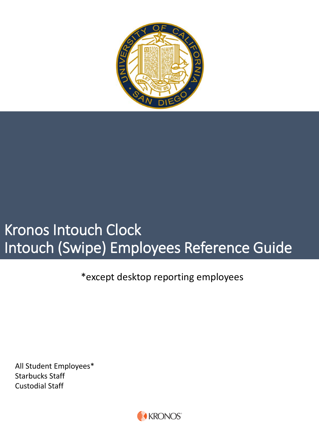

# Kronos Intouch Clock Intouch (Swipe) Employees Reference Guide

\*except desktop reporting employees

All Student Employees\* Starbucks Staff Custodial Staff

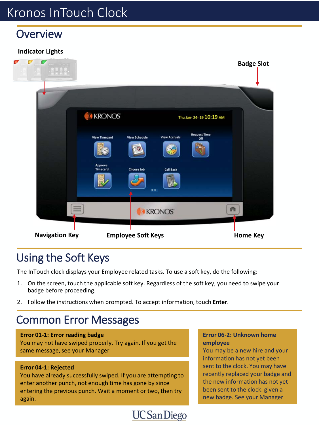### **Overview**

### **Indicator Lights**



## Using the Soft Keys

The InTouch clock displays your Employee related tasks. To use a soft key, do the following:

- 1. On the screen, touch the applicable soft key. Regardless of the soft key, you need to swipe your badge before proceeding.
- 2. Follow the instructions when prompted. To accept information, touch **Enter**.

## Common Error Messages

#### **Error 01-1: Error reading badge**

You may not have swiped properly. Try again. If you get the same message, see your Manager

#### **Error 04-1: Rejected**

You have already successfully swiped. If you are attempting to enter another punch, not enough time has gone by since entering the previous punch. Wait a moment or two, then try again.

#### **Error 06-2: Unknown home employee**

You may be a new hire and your information has not yet been sent to the clock. You may have recently replaced your badge and the new information has not yet been sent to the clock. given a new badge. See your Manager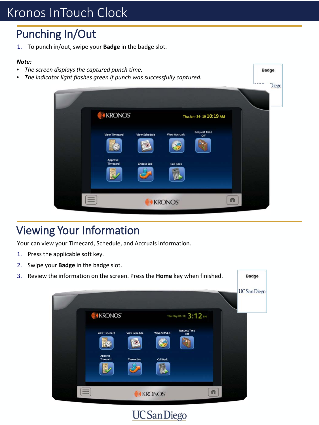## Punching In/Out

1. To punch in/out, swipe your **Badge** in the badge slot.

#### *Note:*

- *The screen displays the captured punch time.*
- *The indicator light flashes green if punch was successfully captured.*

|                      |                            |                      |                            | <b>IT TANKS</b> | <b>Diego</b> |
|----------------------|----------------------------|----------------------|----------------------------|-----------------|--------------|
| <b>AKRONOS</b>       |                            |                      | Thu Jan- 24-19 10:19 AM    |                 |              |
| <b>View Timecard</b> | <b>View Schedule</b><br>Ÿ. | <b>View Accruals</b> | <b>Request Time</b><br>Off |                 |              |
| Approve<br>Timecard  | Choose Job                 | <b>Call Back</b>     |                            |                 |              |
| $\equiv$             |                            | <b>KRONOS</b>        |                            | n               |              |

**Badge** 

## Viewing Your Information

Your can view your Timecard, Schedule, and Accruals information.

- 1. Press the applicable soft key.
- 2. Swipe your **Badge** in the badge slot.

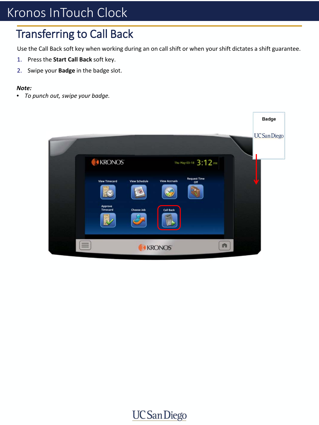## Transferring to Call Back

Use the Call Back soft key when working during an on call shift or when your shift dictates a shift guarantee.

- 1. Press the **Start Call Back** soft key.
- 2. Swipe your **Badge** in the badge slot.

#### *Note:*

• *To punch out, swipe your badge.* 

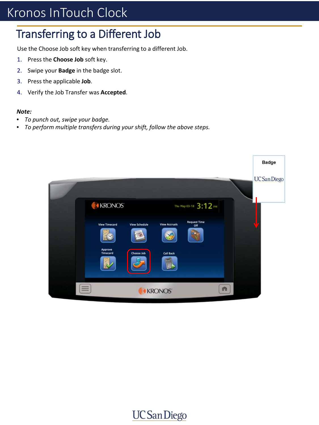## Transferring to a Different Job

Use the Choose Job soft key when transferring to a different Job.

- 1. Press the **Choose Job** soft key.
- 2. Swipe your **Badge** in the badge slot.
- 3. Press the applicable **Job**.
- 4. Verify the Job Transfer was **Accepted**.

#### *Note:*

- *To punch out, swipe your badge.*
- *To perform multiple transfers during your shift, follow the above steps.*

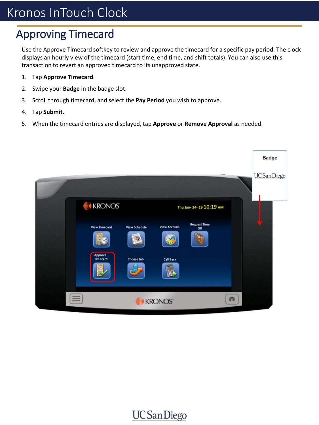## Approving Timecard

Use the Approve Timecard softkey to review and approve the timecard for a specific pay period. The clock displays an hourly view of the timecard (start time, end time, and shift totals). You can also use this transaction to revert an approved timecard to its unapproved state.

- 1. Tap **Approve Timecard**.
- 2. Swipe your **Badge** in the badge slot.
- 3. Scroll through timecard, and select the **Pay Period** you wish to approve.
- 4. Tap **Submit**.
- 5. When the timecard entries are displayed, tap **Approve** or **Remove Approval** as needed.